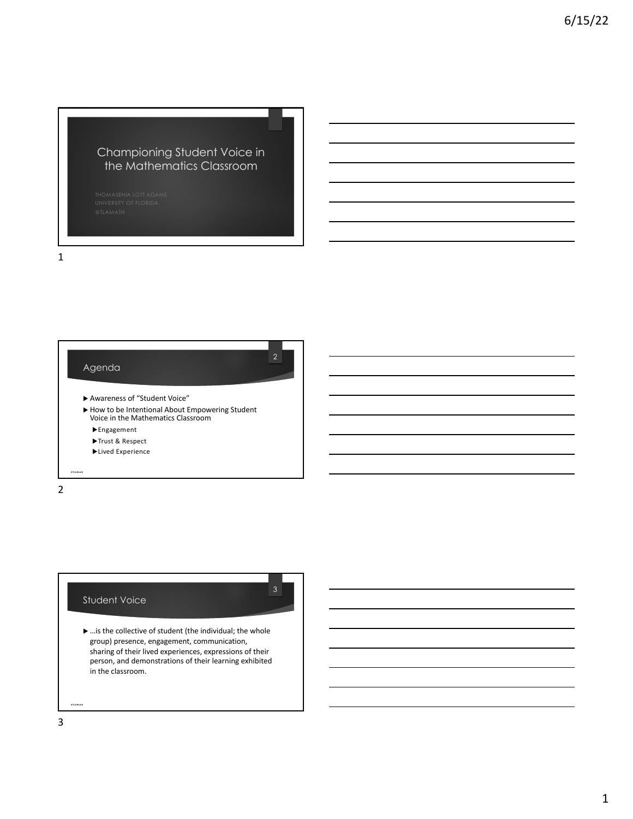## Championing Student Voice in the Mathematics Classroom

1

|                  | $\overline{2}$<br>Agenda                                                                             |
|------------------|------------------------------------------------------------------------------------------------------|
|                  | Awareness of "Student Voice"                                                                         |
|                  | ▶ How to be Intentional About Empowering Student<br>Voice in the Mathematics Classroom<br>Engagement |
|                  | Trust & Respect<br>Lived Experience                                                                  |
| <b>#TLAM oth</b> |                                                                                                      |



 $\blacktriangleright$  ... is the collective of student (the individual; the whole group) presence, engagement, communication, sharing of their lived experiences, expressions of their person, and demonstrations of their learning exhibited in the classroom.

3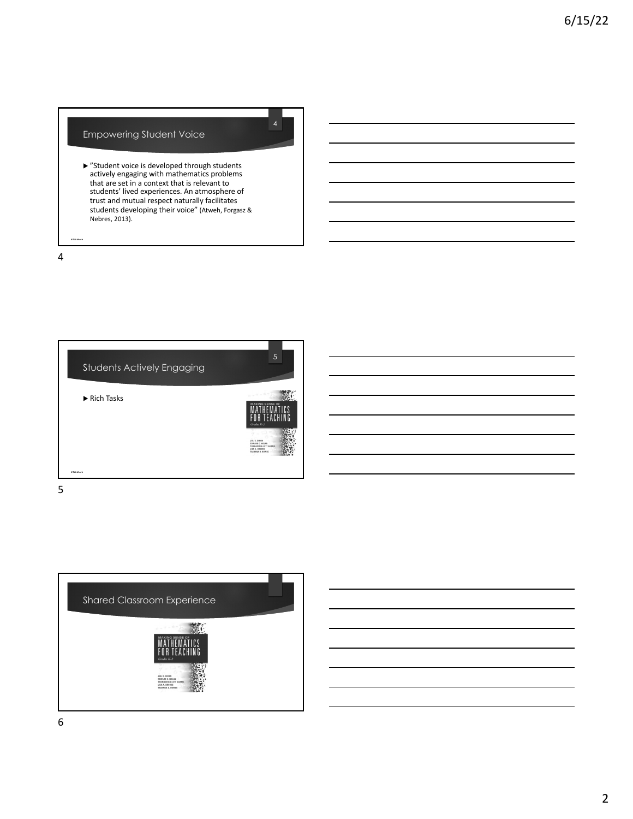## Empowering Student Voice

u "Student voice is developed through students actively engaging with mathematics problems that are set in a context that is relevant to students' lived experiences. An atmosphere of trust and mutual respect naturally facilitates students developing their voice" (Atweh, Forgasz & Nebres, 2013).

4

**@TLAM a th**





6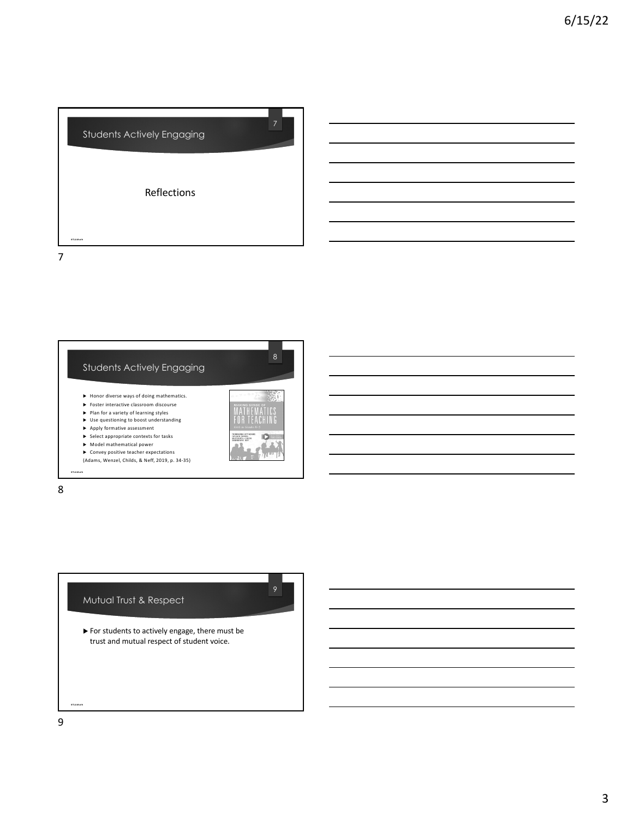

Students Actively Engaging  $\blacktriangleright$  Honor diverse ways of doing mathematics.  $\blacktriangleright$  Foster interactive classroom discourse  $\blacktriangleright$  Plan for a variety of learning styles  $\blacktriangleright$  Use questioning to boost understanding  $\blacktriangleright$  Apply formative assessment  $\blacktriangleright$  Select appropriate contexts for tasks  $\blacktriangleright$  Model mathematical power  $\blacktriangleright$  Convey positive teacher expectations (Adams, Wenzel, Childs, & Neff, 2019, p. 34-35) **@TLAM a th**

8



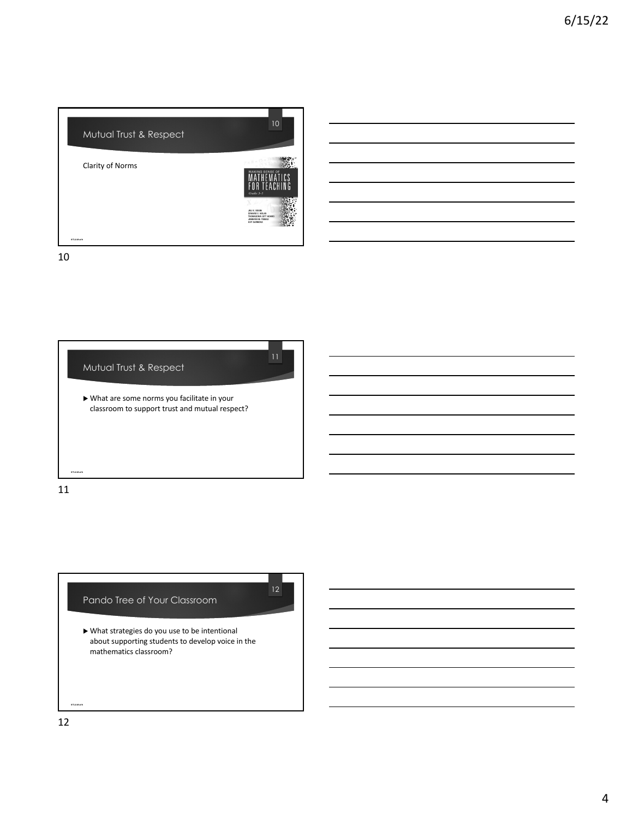

10





 $\blacktriangleright$  What strategies do you use to be intentional about supporting students to develop voice in the mathematics classroom?

12